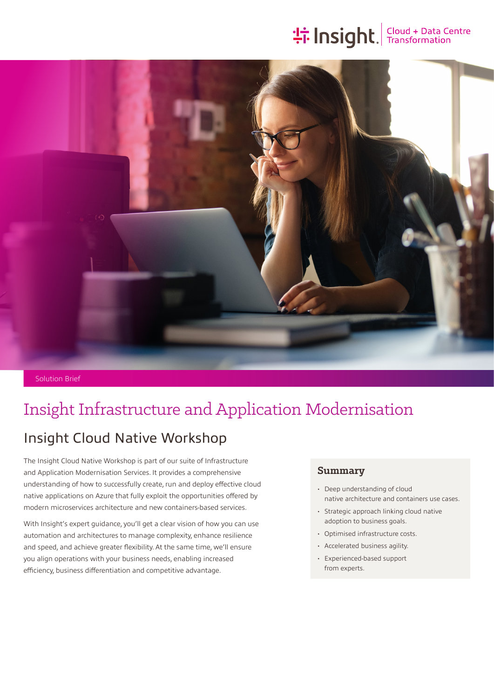# **the Insight**. Transformation



Solution Brief

## Insight Infrastructure and Application Modernisation

### Insight Cloud Native Workshop

The Insight Cloud Native Workshop is part of our suite of Infrastructure and Application Modernisation Services. It provides a comprehensive understanding of how to successfully create, run and deploy effective cloud native applications on Azure that fully exploit the opportunities offered by modern microservices architecture and new containers-based services.

With Insight's expert guidance, you'll get a clear vision of how you can use automation and architectures to manage complexity, enhance resilience and speed, and achieve greater flexibility. At the same time, we'll ensure you align operations with your business needs, enabling increased efficiency, business differentiation and competitive advantage.

#### **Summary**

- Deep understanding of cloud native architecture and containers use cases.
- Strategic approach linking cloud native adoption to business goals.
- Optimised infrastructure costs.
- Accelerated business agility.
- Experienced-based support from experts.